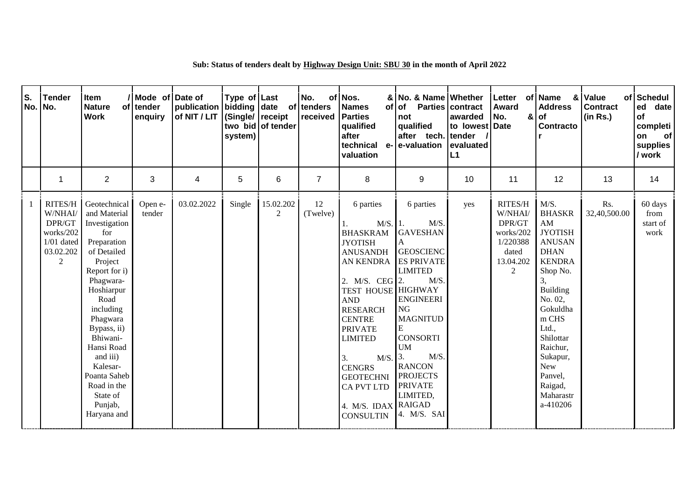| S.<br>No. | <b>Tender</b><br>No.                                                        | Item<br><b>Nature</b><br><b>Work</b>                                                                                                                                                                                                                                                                             | Mode of Date of<br>of tender<br>enquiry | publication bidding date of tenders<br>of NIT / LIT | Type of Last<br>(Single/ receipt)<br>system) | two bid of tender           | No.<br>received | of Nos.<br><b>Names</b><br><b>of</b><br><b>Parties</b><br>qualified<br>after<br>technical<br>$e-$<br>valuation                                                                                                                                                                                                                                                  | & No. & Name Whether<br>of Parties<br>not<br>qualified<br>after tech.<br>e-valuation                                                                                                                                                                                                        | contract<br>awarded<br>to lowest Date<br>tender<br>evaluated<br>L1 | Letter<br>Award<br>No.<br>&                                                                   | of Name<br>&<br><b>Address</b><br><b>of</b><br>Contracto                                                                                                                                                                                                                       | Value<br><b>Contract</b><br>(in Rs.) | of Schedul<br>ed<br>date<br>of<br>completi<br>on<br><b>of</b><br>supplies<br>/ work |
|-----------|-----------------------------------------------------------------------------|------------------------------------------------------------------------------------------------------------------------------------------------------------------------------------------------------------------------------------------------------------------------------------------------------------------|-----------------------------------------|-----------------------------------------------------|----------------------------------------------|-----------------------------|-----------------|-----------------------------------------------------------------------------------------------------------------------------------------------------------------------------------------------------------------------------------------------------------------------------------------------------------------------------------------------------------------|---------------------------------------------------------------------------------------------------------------------------------------------------------------------------------------------------------------------------------------------------------------------------------------------|--------------------------------------------------------------------|-----------------------------------------------------------------------------------------------|--------------------------------------------------------------------------------------------------------------------------------------------------------------------------------------------------------------------------------------------------------------------------------|--------------------------------------|-------------------------------------------------------------------------------------|
|           | 1                                                                           | $\overline{2}$                                                                                                                                                                                                                                                                                                   | 3                                       | 4                                                   | 5                                            | 6                           | $\overline{7}$  | 8                                                                                                                                                                                                                                                                                                                                                               | 9                                                                                                                                                                                                                                                                                           | 10                                                                 | 11                                                                                            | 12                                                                                                                                                                                                                                                                             | 13                                   | 14                                                                                  |
|           | RITES/H<br>W/NHAI/<br>DPR/GT<br>works/202<br>$1/01$ dated<br>03.02.202<br>2 | Geotechnical<br>and Material<br>Investigation<br>for<br>Preparation<br>of Detailed<br>Project<br>Report for i)<br>Phagwara-<br>Hoshiarpur<br>Road<br>including<br>Phagwara<br>Bypass, ii)<br>Bhiwani-<br>Hansi Road<br>and iii)<br>Kalesar-<br>Poanta Saheb<br>Road in the<br>State of<br>Punjab,<br>Haryana and | Open e-<br>tender                       | 03.02.2022                                          | Single                                       | 15.02.202<br>$\overline{2}$ | 12<br>(Twelve)  | 6 parties<br>$M/S.$ 1.<br><b>BHASKRAM</b><br><b>JYOTISH</b><br><b>ANUSANDH</b><br><b>AN KENDRA</b><br>2. M/S. CEG 2.<br><b>TEST HOUSE HIGHWAY</b><br><b>AND</b><br><b>RESEARCH</b><br><b>CENTRE</b><br><b>PRIVATE</b><br><b>LIMITED</b><br>$M/S.$ 3.<br>3.<br><b>CENGRS</b><br><b>GEOTECHNI</b><br><b>CA PVT LTD</b><br>4. M/S. IDAX RAIGAD<br><b>CONSULTIN</b> | 6 parties<br>$M/S$ .<br><b>GAVESHAN</b><br>A<br><b>GEOSCIENC</b><br><b>ES PRIVATE</b><br><b>LIMITED</b><br>M/S<br><b>ENGINEERI</b><br><b>NG</b><br><b>MAGNITUD</b><br><b>CONSORTI</b><br><b>UM</b><br>M/S.<br><b>RANCON</b><br><b>PROJECTS</b><br><b>PRIVATE</b><br>LIMITED,<br>4. M/S. SAI | yes                                                                | RITES/H<br>W/NHAI/<br>DPR/GT<br>works/202<br>1/220388<br>dated<br>13.04.202<br>$\overline{2}$ | M/S.<br><b>BHASKR</b><br>AM<br><b>JYOTISH</b><br><b>ANUSAN</b><br><b>DHAN</b><br><b>KENDRA</b><br>Shop No.<br>3,<br><b>Building</b><br>No. 02,<br>Gokuldha<br>m CHS<br>Ltd.,<br>Shilottar<br>Raichur,<br>Sukapur,<br><b>New</b><br>Panvel,<br>Raigad,<br>Maharastr<br>a-410206 | Rs.<br>32,40,500.00                  | 60 days<br>from<br>start of<br>work                                                 |

## **Sub: Status of tenders dealt by Highway Design Unit: SBU 30 in the month of April 2022**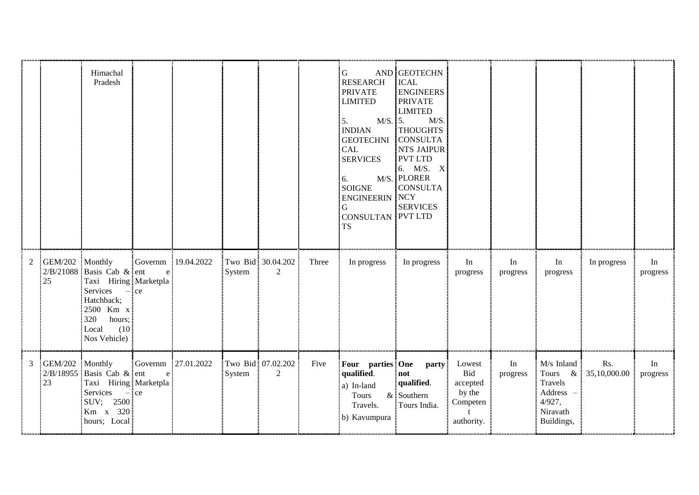|   |                       | Himachal<br>Pradesh                                                                                                                                  |              |                    |        |                         |       | G<br>RESEARCH<br><b>PRIVATE</b><br><b>LIMITED</b><br>M/S. 5.<br>5.<br><b>INDIAN</b><br><b>GEOTECHNI CONSULTA</b><br><b>CAL</b><br><b>SERVICES</b><br>6.<br><b>SOIGNE</b><br><b>ENGINEERIN NCY</b><br>G<br><b>CONSULTAN PVT LTD</b><br><b>TS</b> | AND GEOTECHN<br><b>ICAL</b><br><b>ENGINEERS</b><br><b>PRIVATE</b><br><b>LIMITED</b><br>M/S<br><b>THOUGHTS</b><br>NTS JAIPUR<br>PVT LTD<br>6. M/S. X<br>M/S. PLORER<br><b>CONSULTA</b><br><b>SERVICES</b> |                                                               |                |                                                                                 |                       |                |
|---|-----------------------|------------------------------------------------------------------------------------------------------------------------------------------------------|--------------|--------------------|--------|-------------------------|-------|-------------------------------------------------------------------------------------------------------------------------------------------------------------------------------------------------------------------------------------------------|----------------------------------------------------------------------------------------------------------------------------------------------------------------------------------------------------------|---------------------------------------------------------------|----------------|---------------------------------------------------------------------------------|-----------------------|----------------|
| 2 | GEM/202 Monthly<br>25 | $2/B/21088$ Basis Cab & ent<br>Taxi Hiring Marketpla<br>Services $-$ ce<br>Hatchback;<br>2500 Km x<br>320<br>hours;<br>(10)<br>Local<br>Nos Vehicle) | e            | Governm 19.04.2022 | System | Two Bid 30.04.202<br>2  | Three | In progress                                                                                                                                                                                                                                     | In progress                                                                                                                                                                                              | In<br>progress                                                | In<br>progress | In<br>progress                                                                  | In progress           | In<br>progress |
| 3 | GEM/202 Monthly<br>23 | $2/B/18955$ Basis Cab & ent<br>Taxi Hiring Marketpla<br>Services<br>$-$ ce<br>SUV; 2500<br>Km x 320<br>hours; Local                                  | $\mathbf{e}$ | Governm 27.01.2022 | System | Two Bid: 07.02.202<br>2 | Five  | Four parties One<br>qualified.<br>a) In-land<br>Tours<br>Travels.<br>b) Kavumpura                                                                                                                                                               | <b>party</b><br>not<br>qualified.<br>$&$ Southern<br>Tours India.                                                                                                                                        | Lowest<br>Bid<br>accepted<br>by the<br>Competen<br>authority. | In<br>progress | $M/s$ Inland<br>Tours<br>Travels<br>Address<br>4/927,<br>Niravath<br>Buildings, | Rs.<br>& 35,10,000.00 | In<br>progress |